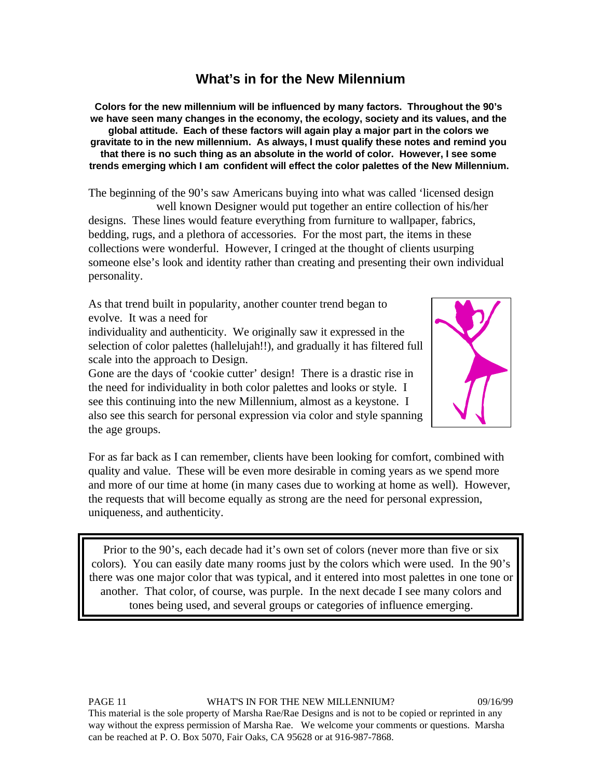## **What's in for the New Milennium**

**Colors for the new millennium will be influenced by many factors. Throughout the 90's we have seen many changes in the economy, the ecology, society and its values, and the global attitude. Each of these factors will again play a major part in the colors we gravitate to in the new millennium. As always, I must qualify these notes and remind you that there is no such thing as an absolute in the world of color. However, I see some trends emerging which I am confident will effect the color palettes of the New Millennium.**

The beginning of the 90's saw Americans buying into what was called 'licensed design well known Designer would put together an entire collection of his/her designs. These lines would feature everything from furniture to wallpaper, fabrics, bedding, rugs, and a plethora of accessories. For the most part, the items in these collections were wonderful. However, I cringed at the thought of clients usurping someone else's look and identity rather than creating and presenting their own individual personality.

As that trend built in popularity, another counter trend began to evolve. It was a need for

individuality and authenticity. We originally saw it expressed in the selection of color palettes (hallelujah!!), and gradually it has filtered full scale into the approach to Design.

Gone are the days of 'cookie cutter' design! There is a drastic rise in the need for individuality in both color palettes and looks or style. I see this continuing into the new Millennium, almost as a keystone. I also see this search for personal expression via color and style spanning the age groups.



For as far back as I can remember, clients have been looking for comfort, combined with quality and value. These will be even more desirable in coming years as we spend more and more of our time at home (in many cases due to working at home as well). However, the requests that will become equally as strong are the need for personal expression, uniqueness, and authenticity.

Prior to the 90's, each decade had it's own set of colors (never more than five or six colors). You can easily date many rooms just by the colors which were used. In the 90's there was one major color that was typical, and it entered into most palettes in one tone or another. That color, of course, was purple. In the next decade I see many colors and tones being used, and several groups or categories of influence emerging.

PAGE 11 WHAT'S IN FOR THE NEW MILLENNIUM? 09/16/99 This material is the sole property of Marsha Rae/Rae Designs and is not to be copied or reprinted in any way without the express permission of Marsha Rae. We welcome your comments or questions. Marsha can be reached at P. O. Box 5070, Fair Oaks, CA 95628 or at 916-987-7868.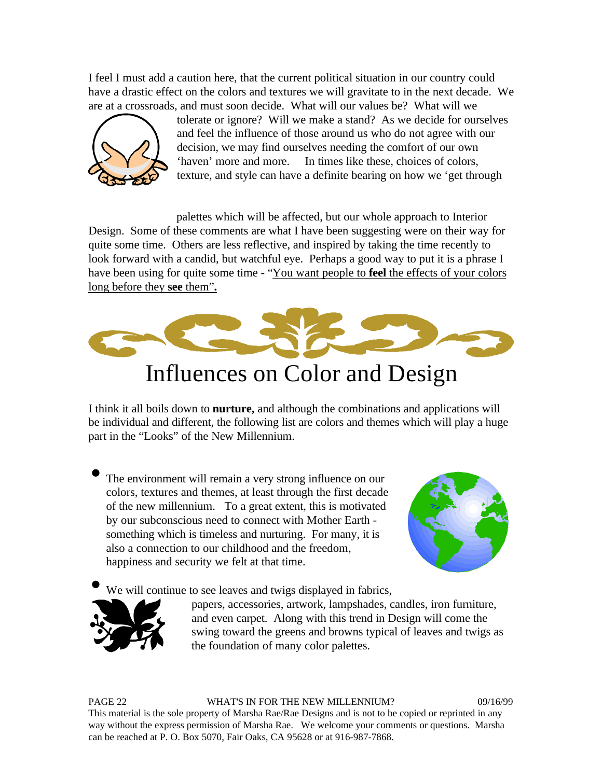I feel I must add a caution here, that the current political situation in our country could have a drastic effect on the colors and textures we will gravitate to in the next decade. We are at a crossroads, and must soon decide. What will our values be? What will we



tolerate or ignore? Will we make a stand? As we decide for ourselves and feel the influence of those around us who do not agree with our decision, we may find ourselves needing the comfort of our own 'haven' more and more. In times like these, choices of colors, texture, and style can have a definite bearing on how we 'get through

palettes which will be affected, but our whole approach to Interior Design. Some of these comments are what I have been suggesting were on their way for quite some time. Others are less reflective, and inspired by taking the time recently to look forward with a candid, but watchful eye. Perhaps a good way to put it is a phrase I have been using for quite some time - "You want people to **feel** the effects of your colors long before they **see** them"**.**



## Influences on Color and Design

I think it all boils down to **nurture,** and although the combinations and applications will be individual and different, the following list are colors and themes which will play a huge part in the "Looks" of the New Millennium.

The environment will remain a very strong influence on our colors, textures and themes, at least through the first decade of the new millennium. To a great extent, this is motivated by our subconscious need to connect with Mother Earth something which is timeless and nurturing. For many, it is also a connection to our childhood and the freedom, happiness and security we felt at that time.



We will continue to see leaves and twigs displayed in fabrics,



papers, accessories, artwork, lampshades, candles, iron furniture, and even carpet. Along with this trend in Design will come the swing toward the greens and browns typical of leaves and twigs as the foundation of many color palettes.

PAGE 22 WHAT'S IN FOR THE NEW MILLENNIUM? 09/16/99 This material is the sole property of Marsha Rae/Rae Designs and is not to be copied or reprinted in any way without the express permission of Marsha Rae. We welcome your comments or questions. Marsha can be reached at P. O. Box 5070, Fair Oaks, CA 95628 or at 916-987-7868.